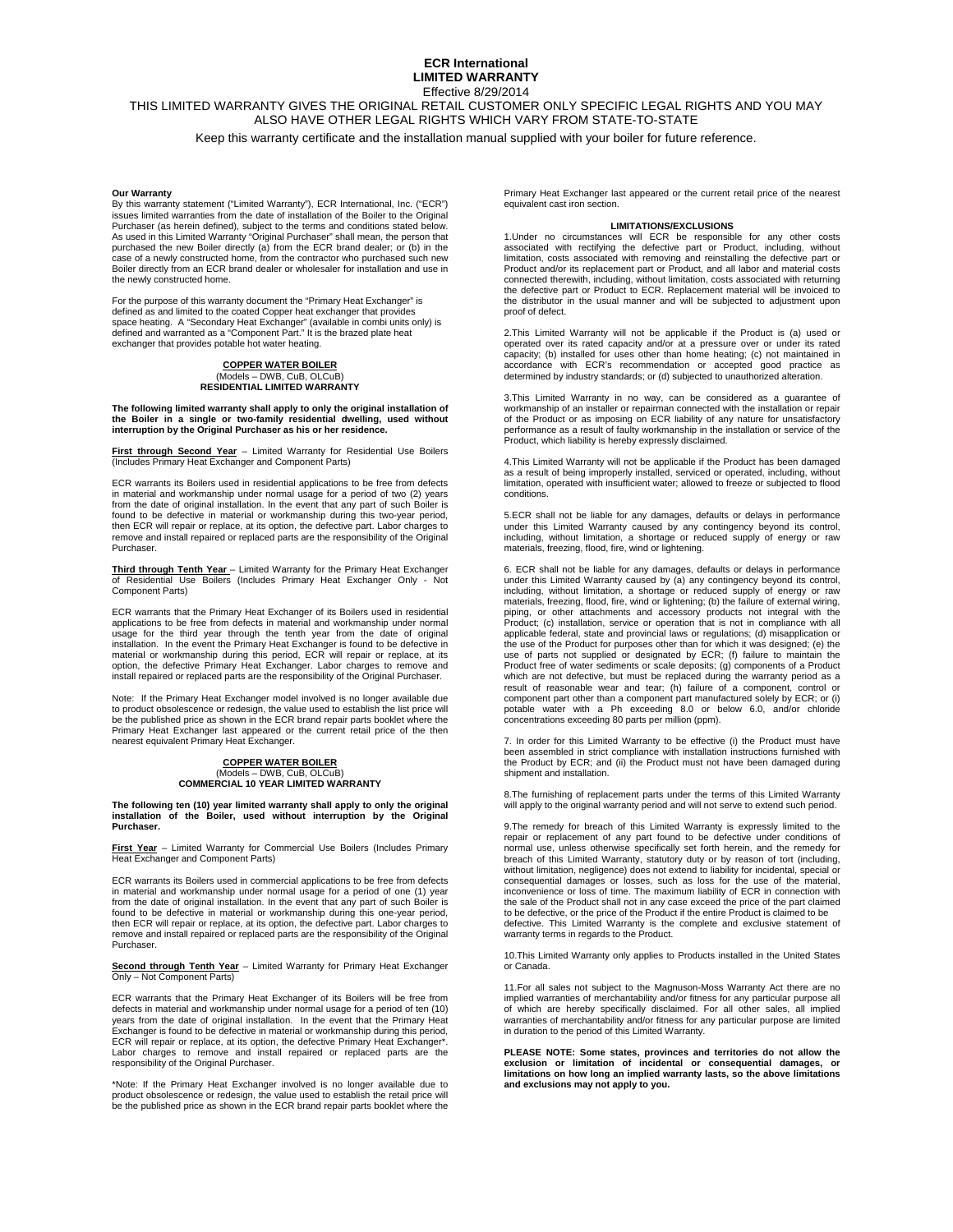### **ECR International LIMITED WARRANTY**  Effective 8/29/2014

# THIS LIMITED WARRANTY GIVES THE ORIGINAL RETAIL CUSTOMER ONLY SPECIFIC LEGAL RIGHTS AND YOU MAY ALSO HAVE OTHER LEGAL RIGHTS WHICH VARY FROM STATE-TO-STATE Keep this warranty certificate and the installation manual supplied with your boiler for future reference.

#### **Our Warranty**

By this warranty statement ("Limited Warranty"), ECR International, Inc. ("ECR") issues limited warranties from the date of installation of the Boiler to the Original Purchaser (as herein defined), subject to the terms and conditions stated below. As used in this Limited Warranty "Original Purchaser" shall mean, the person that<br>purchased the new Boiler directly (a) from the ECR brand dealer; or (b) in the<br>case of a newly constructed home, from the contractor who pur the newly constructed home.

For the purpose of this warranty document the "Primary Heat Exchanger" is defined as and limited to the coated Copper heat exchanger that provides<br>space heating. A "Secondary Heat Exchanger" (available in combi units only) is<br>defined and warranted as a "Component Part." It is the brazed plate h exchanger that provides potable hot water heating.

## **COPPER WATER BOILER**  (Models – DWB, CuB, OLCuB) **RESIDENTIAL LIMITED WARRANTY**

The following limited warranty shall apply to only the original installation of<br>the Boiler in a single or two-family residential dwelling, used without<br>interruption by the Original Purchaser as his or her residen

**First through Second Year** – Limited Warranty for Residential Use Boilers (Includes Primary Heat Exchanger and Component Parts)

ECR warrants its Boilers used in residential applications to be free from defects in material and workmanship under normal usage for a period of two (2) years from the date of original installation. In the event that any part of such Boiler is found to be defective in material or workmanship during this two-year period, then ECR will repair or replace, at its option, the defective part. Labor charges to remove and install repaired or replaced parts are the responsibility of the Original Purchaser.

**Third through Tenth Year** – Limited Warranty for the Primary Heat Exchanger of Residential Use Boilers (Includes Primary Heat Exchanger Only - Not Component Parts)

ECR warrants that the Primary Heat Exchanger of its Boilers used in residential applications to be free from defects in material and workmanship under normal<br>usage for the third year through the tenth year from the date of original<br>installation. In the event the Primary Heat Exchanger is found to be d option, the defective Primary Heat Exchanger. Labor charges to remove and install repaired or replaced parts are the responsibility of the Original Purchaser.

Note: If the Primary Heat Exchanger model involved is no longer available due to product obsolescence or redesign, the value used to establish the list price will be the published price as shown in the ECR brand repair parts booklet where the Primary Heat Exchanger last appeared or the current retail price of the then nearest equivalent Primary Heat Exchanger.

## **COPPER WATER BOILER**  (Models – DWB, CuB, OLCuB) **COMMERCIAL 10 YEAR LIMITED WARRANTY**

**The following ten (10) year limited warranty shall apply to only the original installation of the Boiler, used without interruption by the Original Purchaser.** 

**First Year** – Limited Warranty for Commercial Use Boilers (Includes Primary Heat Exchanger and Component Parts)

ECR warrants its Boilers used in commercial applications to be free from defects in material and workmanship under normal usage for a period of one (1) year from the date of original installation. In the event that any part of such Boiler is found to be defective in material or workmanship during this one-year period, then ECR will repair or replace, at its option, the defective part. Labor charges to remove and install repaired or replaced parts are the responsibility of the Original Purchaser.

**Second through Tenth Year** – Limited Warranty for Primary Heat Exchanger Only – Not Component Parts)

ECR warrants that the Primary Heat Exchanger of its Boilers will be free from defects in material and workmanship under normal usage for a period of ten (10)<br>years from the date of original installation. In the event that the Primary Heat<br>Exchanger is found to be defective in material or workmanship ECR will repair or replace, at its option, the defective Primary Heat Exchanger\*. Labor charges to remove and install repaired or replaced parts are the responsibility of the Original Purchaser.

\*Note: If the Primary Heat Exchanger involved is no longer available due to product obsolescence or redesign, the value used to establish the retail price will be the published price as shown in the ECR brand repair parts booklet where the Primary Heat Exchanger last appeared or the current retail price of the nearest equivalent cast iron section.

#### **LIMITATIONS/EXCLUSIONS**

1.Under no circumstances will ECR be responsible for any other costs<br>associated with rectifying the defective part or Product, including, without<br>limitation, costs associated with removing and reinstalling the defective pa Product and/or its replacement part or Product, and all labor and material costs connected therewith, including, without limitation, costs associated with returning the defective part or Product to ECR. Replacement material will be invoiced to the distributor in the usual manner and will be subjected to adjustment upon proof of defect.

2.This Limited Warranty will not be applicable if the Product is (a) used or operated over its rated capacity and/or at a pressure over or under its rated capacity; (b) installed for uses other than home heating; (c) not maintained in accordance with ECR's recommendation or accepted good practice as determined by industry standards; or (d) subjected to unauthorized alteration.

3.This Limited Warranty in no way, can be considered as a guarantee of workmanship of an installer or repairman connected with the installation or repair of the Product or as imposing on ECR liability of any nature for unsatisfactory performance as a result of faulty workmanship in the installation or service of the Product, which liability is hereby expressly disclaimed.

4.This Limited Warranty will not be applicable if the Product has been damaged as a result of being improperly installed, serviced or operated, including, without limitation, operated with insufficient water; allowed to freeze or subjected to flood conditions.

5.ECR shall not be liable for any damages, defaults or delays in performance<br>under this Limited Warranty caused by any contingency beyond its control,<br>including, without limitation, a shortage or reduced supply of energy o materials, freezing, flood, fire, wind or lightening.

6. ECR shall not be liable for any damages, defaults or delays in performance under this Limited Warranty caused by (a) any contingency beyond its control, including, without limitation, a shortage or reduced supply of energy or raw materials, freezing, flood, fire, wind or lightening; (b) the failure of external wiring, piping, or other attachments and accessory products not integral with the Product; (c) installation, service or operation that is not in compliance with all applicable federal, state and provincial laws or regulations; (d) misapplication or the use of the Product for purposes other than for which it was designed; (e) the use of parts not supplied or designated by ECR; (f) failure to maintain the Product free of water sediments or scale deposits; (g) components of a Product which are not defective, but must be replaced during the warranty period as a result of reasonable wear and tear; (h) failure of a component, control or component part other than a component part manufactured solely by ECR; or (i) potable water with a Ph exceeding 8.0 or below 6.0, and/or chloride concentrations exceeding 80 parts per million (ppm).

7. In order for this Limited Warranty to be effective (i) the Product must have been assembled in strict compliance with installation instructions furnished with the Product by ECR; and (ii) the Product must not have been damaged during shipment and installation.

8.The furnishing of replacement parts under the terms of this Limited Warranty will apply to the original warranty period and will not serve to extend such period.

9.The remedy for breach of this Limited Warranty is expressly limited to the repair or replacement of any part found to be defective under conditions of normal use, unless otherwise specifically set forth herein, and the remedy for breach of this Limited Warranty, statutory duty or by reason of tort (including, without limitation, negligence) does not extend to liability for incidental, special or consequential damages or losses, such as loss for the use of the material, inconvenience or loss of time. The maximum liability of ECR in connection with the sale of the Product shall not in any case exceed the price of the part claimed to be defective, or the price of the Product if the entire Product is claimed to be defective. This Limited Warranty is the complete and exclusive statement of warranty terms in regards to the Product.

10.This Limited Warranty only applies to Products installed in the United States or Canada.

11.For all sales not subject to the Magnuson-Moss Warranty Act there are no implied warranties of merchantability and/or fitness for any particular purpose all of which are hereby specifically disclaimed. For all other sales, all implied warranties of merchantability and/or fitness for any particular purpose are limited in duration to the period of this Limited Warranty.

**PLEASE NOTE: Some states, provinces and territories do not allow the exclusion or limitation of incidental or consequential damages, or limitations on how long an implied warranty lasts, so the above limitations and exclusions may not apply to you.**